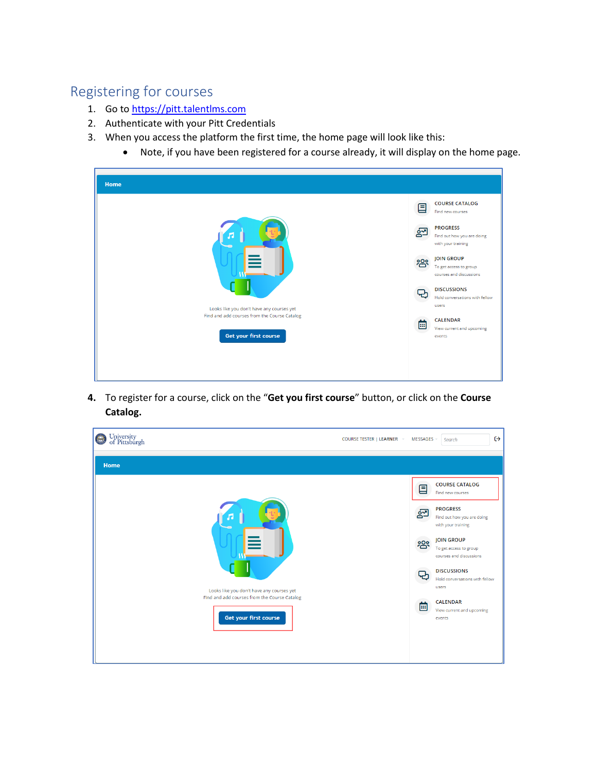## Registering for courses

- 1. Go to [https://pitt.talentlms.com](https://pitt.talentlms.com/)
- 2. Authenticate with your Pitt Credentials
- 3. When you access the platform the first time, the home page will look like this:
	- Note, if you have been registered for a course already, it will display on the home page.

| Home                                                                                                               |     |                                                                        |
|--------------------------------------------------------------------------------------------------------------------|-----|------------------------------------------------------------------------|
|                                                                                                                    | 囯   | <b>COURSE CATALOG</b><br>Find new courses                              |
|                                                                                                                    | ó؇  | <b>PROGRESS</b><br>Find out how you are doing<br>with your training    |
|                                                                                                                    | 000 | <b>IOIN GROUP</b><br>To get access to group<br>courses and discussions |
|                                                                                                                    |     | <b>DISCUSSIONS</b><br>Hold conversations with fellow<br>users          |
| Looks like you don't have any courses yet<br>Find and add courses from the Course Catalog<br>Get your first course | 崮   | <b>CALENDAR</b><br>View current and upcoming<br>events                 |
|                                                                                                                    |     |                                                                        |
|                                                                                                                    |     |                                                                        |

**4.** To register for a course, click on the "**Get you first course**" button, or click on the **Course Catalog.**

| University<br>of Pittsburgh<br>$\bigodot$                             | COURSE TESTER   LEARNER -<br>MESSAGES - | $\leftrightarrow$<br>Search                                            |
|-----------------------------------------------------------------------|-----------------------------------------|------------------------------------------------------------------------|
| Home                                                                  |                                         |                                                                        |
|                                                                       | 囯                                       | <b>COURSE CATALOG</b><br>Find new courses                              |
|                                                                       | ഈ                                       | <b>PROGRESS</b><br>Find out how you are doing<br>with your training    |
|                                                                       | <u>က္</u> လီ                            | <b>JOIN GROUP</b><br>To get access to group<br>courses and discussions |
| Looks like you don't have any courses yet                             |                                         | <b>DISCUSSIONS</b><br>Hold conversations with fellow<br>users          |
| Find and add courses from the Course Catalog<br>Get your first course | 菌                                       | <b>CALENDAR</b><br>View current and upcoming<br>events                 |
|                                                                       |                                         |                                                                        |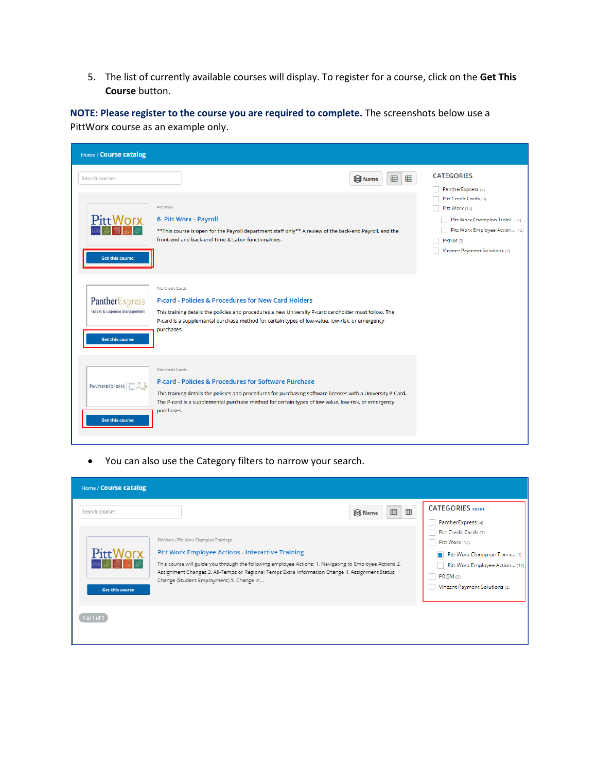5. The list of currently available courses will display. To register for a course, click on the **Get This Course** button.

**NOTE: Please register to the course you are required to complete.** The screenshots below use a PittWorx course as an example only.

| Home / Course catalog                                                              |                                                                                                                                                                                                                                                                                                                                  |                                                                                                                                                                                                     |
|------------------------------------------------------------------------------------|----------------------------------------------------------------------------------------------------------------------------------------------------------------------------------------------------------------------------------------------------------------------------------------------------------------------------------|-----------------------------------------------------------------------------------------------------------------------------------------------------------------------------------------------------|
| Search courses<br>Pitt Worx<br><b>Get this course</b>                              | 田<br>囲<br>S Name<br>Pitt Worx<br>6. Pitt Worx - Payroll<br>** This course is open for the Payroll department staff only** A review of the back-end Payroll, and the<br>front-end and back-end Time & Labor functionalities.                                                                                                      | <b>CATEGORIES</b><br>PantherExpress (4)<br>Pitt Credit Cards (3)<br>Pitt Worx (14)<br>Pitt Worx Champion Traini (1)<br>Pitt Worx Employee Action (12)<br>PRISM (2)<br>Vincent Payment Solutions (2) |
| PantherExpress<br><b>Travel &amp; Expense Management</b><br><b>Get this course</b> | <b>Pitt Credit Cards</b><br><b>P-card - Policies &amp; Procedures for New Card Holders</b><br>This training details the policies and procedures a new University P-card cardholder must follow. The<br>P-card is a supplemental purchase method for certain types of low-value, low-risk, or emergency<br>purchases.             |                                                                                                                                                                                                     |
| PANTHEREXPRESS<br><b>Get this course</b>                                           | <b>Pitt Credit Cards</b><br><b>P-card - Policies &amp; Procedures for Software Purchase</b><br>This training details the policies and procedures for purchasing software licenses with a University P-Card.<br>The P-card is a supplemental purchase method for certain types of low-value, low-risk, or emergency<br>purchases. |                                                                                                                                                                                                     |

• You can also use the Category filters to narrow your search.

| Home / Course catalog  |                                                                                                                                                                                                                                                                                                                    |                                                                                                                                 |
|------------------------|--------------------------------------------------------------------------------------------------------------------------------------------------------------------------------------------------------------------------------------------------------------------------------------------------------------------|---------------------------------------------------------------------------------------------------------------------------------|
| Search courses         | $\boxplus$<br>囲<br>S Name<br>Pitt Worx / Pitt Worx Champion Trainings                                                                                                                                                                                                                                              | <b>CATEGORIES</b> reset<br>PantherExpress (4)<br>Pitt Credit Cards (3)<br>Pitt Worx (14)                                        |
| <b>Get this course</b> | <b>Pitt Worx Employee Actions - Interactive Training</b><br>This course will guide you through the following employee Actions: 1. Navigating to Employee Actions 2.<br>Assignment Changes 3. All-Temps or Regional Temps Extra Information Change 4. Assignment Status<br>Change (Student Employment) 5. Change in | Pitt Worx Champion Traini (1)<br>$\blacksquare$<br>Pitt Worx Employee Action (12)<br>PRISM (2)<br>Vincent Payment Solutions (2) |
| 1 to 1 of 1            |                                                                                                                                                                                                                                                                                                                    |                                                                                                                                 |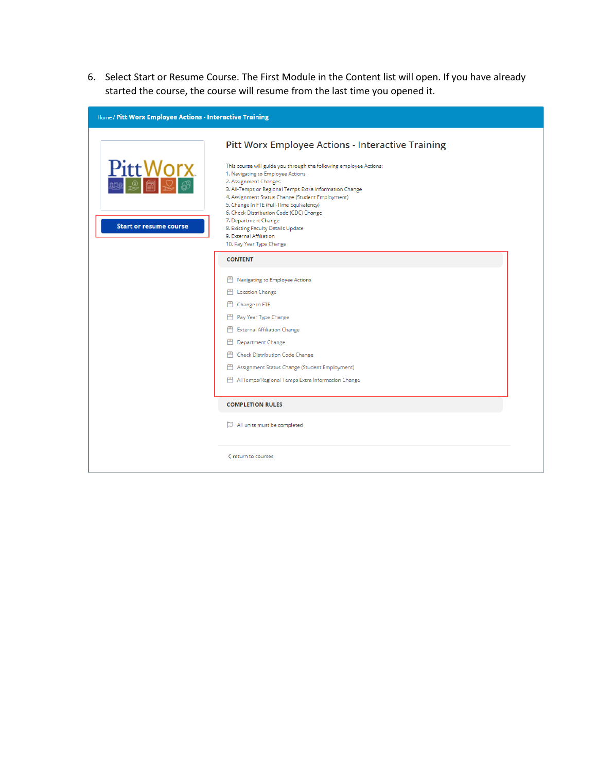6. Select Start or Resume Course. The First Module in the Content list will open. If you have already started the course, the course will resume from the last time you opened it.

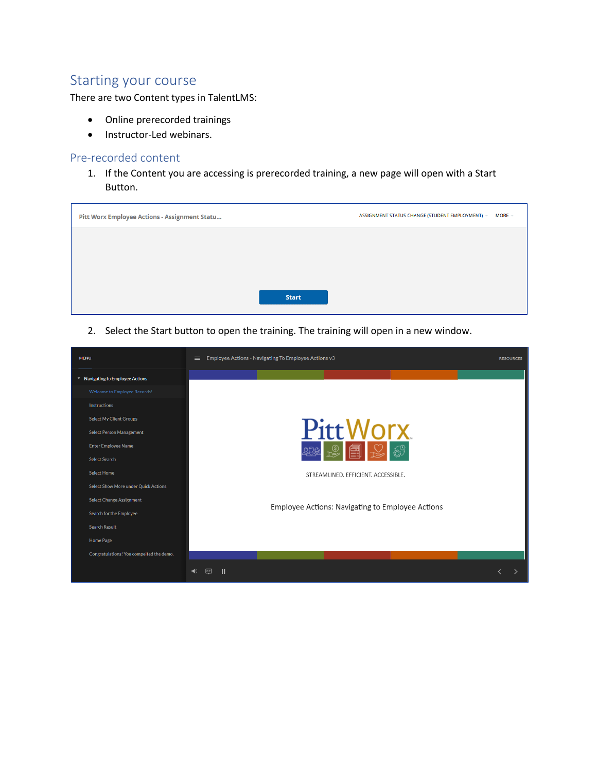## Starting your course

There are two Content types in TalentLMS:

- Online prerecorded trainings
- Instructor-Led webinars.

## Pre-recorded content

1. If the Content you are accessing is prerecorded training, a new page will open with a Start Button.

| Pitt Worx Employee Actions - Assignment Statu |              | ASSIGNMENT STATUS CHANGE (STUDENT EMPLOYMENT)<br>$MORE =$ |
|-----------------------------------------------|--------------|-----------------------------------------------------------|
|                                               |              |                                                           |
|                                               |              |                                                           |
|                                               | <b>Start</b> |                                                           |
|                                               |              |                                                           |

2. Select the Start button to open the training. The training will open in a new window.

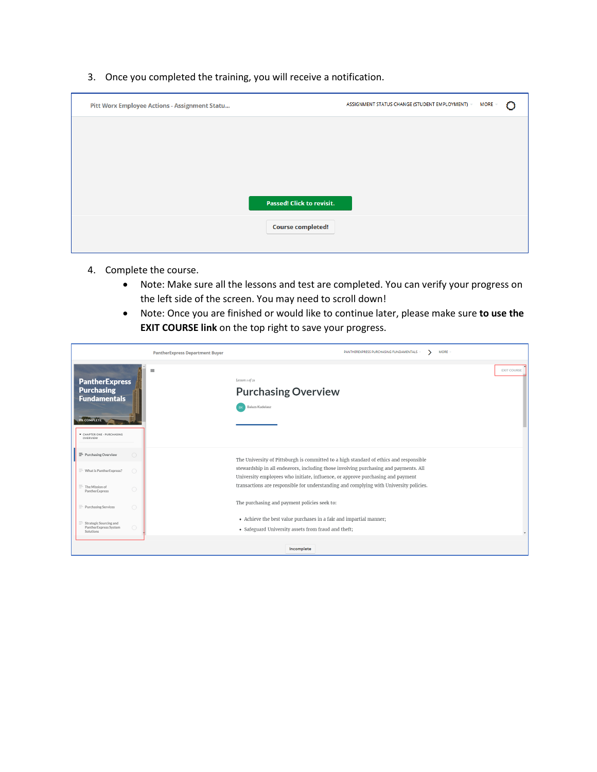3. Once you completed the training, you will receive a notification.

| Pitt Worx Employee Actions - Assignment Statu |                                  | ASSIGNMENT STATUS CHANGE (STUDENT EMPLOYMENT) | <b>MORE</b> |  |
|-----------------------------------------------|----------------------------------|-----------------------------------------------|-------------|--|
|                                               |                                  |                                               |             |  |
|                                               |                                  |                                               |             |  |
|                                               |                                  |                                               |             |  |
|                                               | <b>Passed! Click to revisit.</b> |                                               |             |  |
|                                               | <b>Course completed!</b>         |                                               |             |  |
|                                               |                                  |                                               |             |  |

- 4. Complete the course.
	- Note: Make sure all the lessons and test are completed. You can verify your progress on the left side of the screen. You may need to scroll down!
	- Note: Once you are finished or would like to continue later, please make sure **to use the EXIT COURSE link** on the top right to save your progress.

|                                                                                                                                                   | <b>PantherExpress Department Buyer</b> | <b>MORE</b><br>PANTHEREXPRESS PURCHASING FUNDAMENTALS                                                                                                                                                                                                                                                                                                       |
|---------------------------------------------------------------------------------------------------------------------------------------------------|----------------------------------------|-------------------------------------------------------------------------------------------------------------------------------------------------------------------------------------------------------------------------------------------------------------------------------------------------------------------------------------------------------------|
| <b>PantherExpress</b><br><b>Purchasing</b><br><b>Fundamentals</b><br><b>OX COMPLETE</b><br>CHAPTER ONE - PURCHASING<br>OVERVIEW                   | $\equiv$                               | <b>EXIT COURSE</b><br>Lesson 1 of 21<br><b>Purchasing Overview</b><br><b>Balazs Kudelasz</b>                                                                                                                                                                                                                                                                |
| Purchasing Overview<br>$\bigcirc$<br>$\bigcirc$<br>$\equiv$ What is PantherExpress?<br>$\equiv$ The Mission of                                    |                                        | The University of Pittsburgh is committed to a high standard of ethics and responsible<br>stewardship in all endeavors, including those involving purchasing and payments. All<br>University employees who initiate, influence, or approve purchasing and payment<br>transactions are responsible for understanding and complying with University policies. |
| $\circ$<br>PantherExpress<br>$\bigcirc$<br>$\equiv$ Purchasing Services<br>$\equiv$ Strategic Sourcing and<br>$\bigcirc$<br>PantherExpress System |                                        | The purchasing and payment policies seek to:<br>• Achieve the best value purchases in a fair and impartial manner;                                                                                                                                                                                                                                          |
| Solutions                                                                                                                                         |                                        | • Safeguard University assets from fraud and theft;<br>Incomplete                                                                                                                                                                                                                                                                                           |